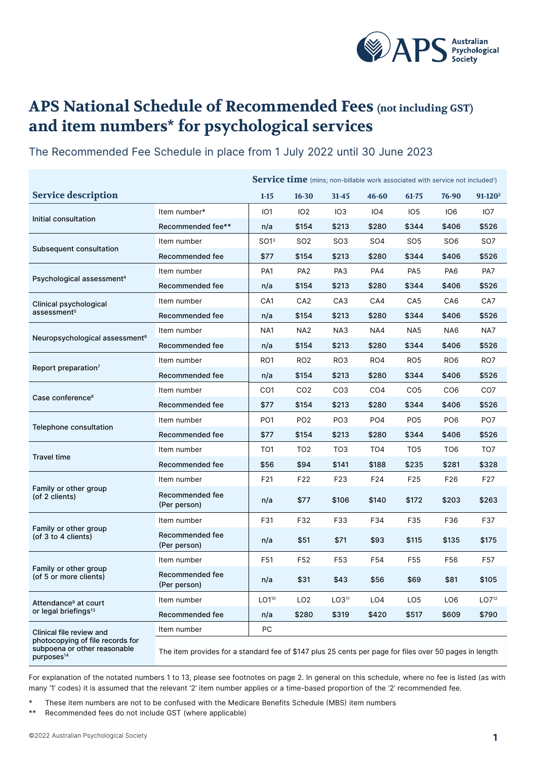

## **APS National Schedule of Recommended Fees (not including GST) and item numbers\* for psychological services**

|                                                                                                                        |                                                                                                        | Service time (mins; non-billable work associated with service not included <sup>1</sup> ) |                 |                   |                 |                 |                 |                   |
|------------------------------------------------------------------------------------------------------------------------|--------------------------------------------------------------------------------------------------------|-------------------------------------------------------------------------------------------|-----------------|-------------------|-----------------|-----------------|-----------------|-------------------|
| <b>Service description</b>                                                                                             |                                                                                                        | $1 - 15$                                                                                  | $16 - 30$       | $31 - 45$         | $46 - 60$       | 61-75           | 76-90           | $91-120^2$        |
| Initial consultation                                                                                                   | Item number*                                                                                           | IO1                                                                                       | IO <sub>2</sub> | IO <sub>3</sub>   | 104             | IO <sub>5</sub> | IO <sub>6</sub> | IO7               |
|                                                                                                                        | Recommended fee**                                                                                      | n/a                                                                                       | \$154           | \$213             | \$280           | \$344           | \$406           | \$526             |
| Subsequent consultation                                                                                                | Item number                                                                                            | SO1 <sup>3</sup>                                                                          | SO <sub>2</sub> | SO <sub>3</sub>   | SO <sub>4</sub> | SO <sub>5</sub> | SO <sub>6</sub> | SO <sub>7</sub>   |
|                                                                                                                        | Recommended fee                                                                                        | \$77                                                                                      | \$154           | \$213             | \$280           | \$344           | \$406           | \$526             |
| Psychological assessment <sup>4</sup>                                                                                  | Item number                                                                                            | PA1                                                                                       | PA <sub>2</sub> | PA3               | PA4             | PA <sub>5</sub> | PA <sub>6</sub> | PA7               |
|                                                                                                                        | Recommended fee                                                                                        | n/a                                                                                       | \$154           | \$213             | \$280           | \$344           | \$406           | \$526             |
| Clinical psychological<br>assessment <sup>5</sup>                                                                      | Item number                                                                                            | CA1                                                                                       | CA <sub>2</sub> | CA <sub>3</sub>   | CA4             | CA <sub>5</sub> | CA6             | CA7               |
|                                                                                                                        | Recommended fee                                                                                        | n/a                                                                                       | \$154           | \$213             | \$280           | \$344           | \$406           | \$526             |
| Neuropsychological assessment <sup>6</sup>                                                                             | Item number                                                                                            | NA1                                                                                       | NA <sub>2</sub> | NA3               | NA4             | NA <sub>5</sub> | NA6             | NA7               |
|                                                                                                                        | Recommended fee                                                                                        | n/a                                                                                       | \$154           | \$213             | \$280           | \$344           | \$406           | \$526             |
| Report preparation <sup>7</sup>                                                                                        | Item number                                                                                            | RO <sub>1</sub>                                                                           | RO <sub>2</sub> | RO <sub>3</sub>   | RO4             | RO <sub>5</sub> | RO <sub>6</sub> | RO7               |
|                                                                                                                        | Recommended fee                                                                                        | n/a                                                                                       | \$154           | \$213             | \$280           | \$344           | \$406           | \$526             |
| Case conference <sup>8</sup>                                                                                           | Item number                                                                                            | CO <sub>1</sub>                                                                           | CO <sub>2</sub> | CO <sub>3</sub>   | CO <sub>4</sub> | CO <sub>5</sub> | CO <sub>6</sub> | CO <sub>7</sub>   |
|                                                                                                                        | Recommended fee                                                                                        | \$77                                                                                      | \$154           | \$213             | \$280           | \$344           | \$406           | \$526             |
| <b>Telephone consultation</b>                                                                                          | Item number                                                                                            | PO <sub>1</sub>                                                                           | PO <sub>2</sub> | PO <sub>3</sub>   | PO <sub>4</sub> | PO <sub>5</sub> | PO <sub>6</sub> | PO <sub>7</sub>   |
|                                                                                                                        | Recommended fee                                                                                        | \$77                                                                                      | \$154           | \$213             | \$280           | \$344           | \$406           | \$526             |
| <b>Travel time</b>                                                                                                     | Item number                                                                                            | TO <sub>1</sub>                                                                           | TO <sub>2</sub> | TO <sub>3</sub>   | TO <sub>4</sub> | TO <sub>5</sub> | TO <sub>6</sub> | TO7               |
|                                                                                                                        | Recommended fee                                                                                        | \$56                                                                                      | \$94            | \$141             | \$188           | \$235           | \$281           | \$328             |
| Family or other group<br>(of 2 clients)                                                                                | Item number                                                                                            | F21                                                                                       | F22             | F <sub>23</sub>   | F24             | F <sub>25</sub> | F26             | F <sub>27</sub>   |
|                                                                                                                        | Recommended fee<br>(Per person)                                                                        | n/a                                                                                       | \$77            | \$106             | \$140           | \$172           | \$203           | \$263             |
| Family or other group<br>(of 3 to 4 clients)                                                                           | Item number                                                                                            | F31                                                                                       | F32             | F33               | F34             | F35             | F36             | F37               |
|                                                                                                                        | Recommended fee<br>(Per person)                                                                        | n/a                                                                                       | \$51            | \$71              | \$93            | \$115           | \$135           | \$175             |
| Family or other group<br>(of 5 or more clients)                                                                        | Item number                                                                                            | F51                                                                                       | F52             | F53               | F54             | F55             | F56             | F57               |
|                                                                                                                        | Recommended fee<br>(Per person)                                                                        | n/a                                                                                       | \$31            | \$43              | \$56            | \$69            | \$81            | \$105             |
| Attendance <sup>9</sup> at court<br>or legal briefings <sup>13</sup>                                                   | Item number                                                                                            | LO1 <sup>10</sup>                                                                         | LO <sub>2</sub> | LO3 <sup>11</sup> | LO4             | LO <sub>5</sub> | LO <sub>6</sub> | LO7 <sup>12</sup> |
|                                                                                                                        | Recommended fee                                                                                        | n/a                                                                                       | \$280           | \$319             | \$420           | \$517           | \$609           | \$790             |
| Clinical file review and<br>photocopying of file records for<br>subpoena or other reasonable<br>purposes <sup>14</sup> | Item number                                                                                            | PC                                                                                        |                 |                   |                 |                 |                 |                   |
|                                                                                                                        | The item provides for a standard fee of \$147 plus 25 cents per page for files over 50 pages in length |                                                                                           |                 |                   |                 |                 |                 |                   |

The Recommended Fee Schedule in place from 1 July 2022 until 30 June 2023

For explanation of the notated numbers 1 to 13, please see footnotes on page 2. In general on this schedule, where no fee is listed (as with many '1' codes) it is assumed that the relevant '2' item number applies or a time-based proportion of the '2' recommended fee.

These item numbers are not to be confused with the Medicare Benefits Schedule (MBS) item numbers

\*\* Recommended fees do not include GST (where applicable)